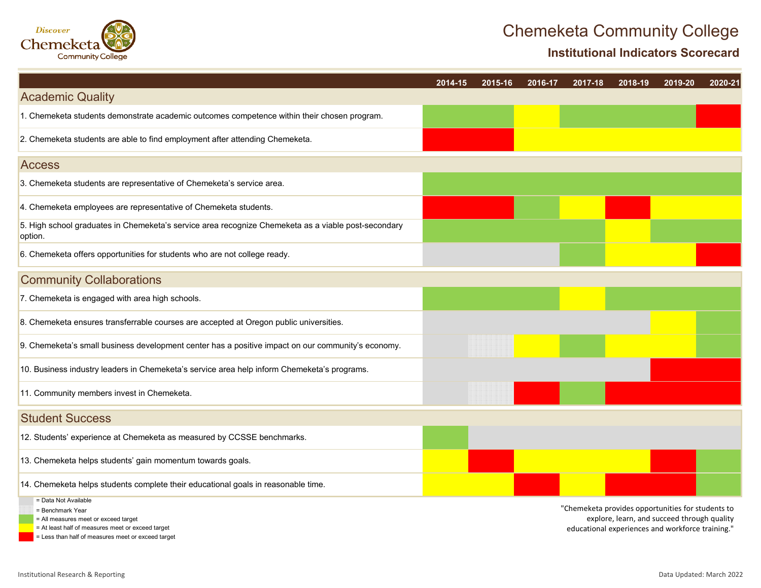

**Institutional Indicators Scorecard**

|                                                                                                                | 2014-15 | 2015-16 | 2016-17 | 2017-18 | 2018-19                                                                                          | 2019-20 | 2020-21 |
|----------------------------------------------------------------------------------------------------------------|---------|---------|---------|---------|--------------------------------------------------------------------------------------------------|---------|---------|
| <b>Academic Quality</b>                                                                                        |         |         |         |         |                                                                                                  |         |         |
| 1. Chemeketa students demonstrate academic outcomes competence within their chosen program.                    |         |         |         |         |                                                                                                  |         |         |
| 2. Chemeketa students are able to find employment after attending Chemeketa.                                   |         |         |         |         |                                                                                                  |         |         |
| <b>Access</b>                                                                                                  |         |         |         |         |                                                                                                  |         |         |
| 3. Chemeketa students are representative of Chemeketa's service area.                                          |         |         |         |         |                                                                                                  |         |         |
| 4. Chemeketa employees are representative of Chemeketa students.                                               |         |         |         |         |                                                                                                  |         |         |
| 5. High school graduates in Chemeketa's service area recognize Chemeketa as a viable post-secondary<br>option. |         |         |         |         |                                                                                                  |         |         |
| 6. Chemeketa offers opportunities for students who are not college ready.                                      |         |         |         |         |                                                                                                  |         |         |
| <b>Community Collaborations</b>                                                                                |         |         |         |         |                                                                                                  |         |         |
| 7. Chemeketa is engaged with area high schools.                                                                |         |         |         |         |                                                                                                  |         |         |
| 8. Chemeketa ensures transferrable courses are accepted at Oregon public universities.                         |         |         |         |         |                                                                                                  |         |         |
| 9. Chemeketa's small business development center has a positive impact on our community's economy.             |         |         |         |         |                                                                                                  |         |         |
| 10. Business industry leaders in Chemeketa's service area help inform Chemeketa's programs.                    |         |         |         |         |                                                                                                  |         |         |
| 11. Community members invest in Chemeketa.                                                                     |         |         |         |         |                                                                                                  |         |         |
| <b>Student Success</b>                                                                                         |         |         |         |         |                                                                                                  |         |         |
| 12. Students' experience at Chemeketa as measured by CCSSE benchmarks.                                         |         |         |         |         |                                                                                                  |         |         |
| 13. Chemeketa helps students' gain momentum towards goals.                                                     |         |         |         |         |                                                                                                  |         |         |
| 14. Chemeketa helps students complete their educational goals in reasonable time.                              |         |         |         |         |                                                                                                  |         |         |
| = Data Not Available<br>= Benchmark Year<br>= All measures meet or exceed target                               |         |         |         |         | "Chemeketa provides opportunities for students to<br>explore, learn, and succeed through quality |         |         |

= At least half of measures meet or exceed target

= Less than half of measures meet or exceed target

explore, learn, and succeed through quality educational experiences and workforce training."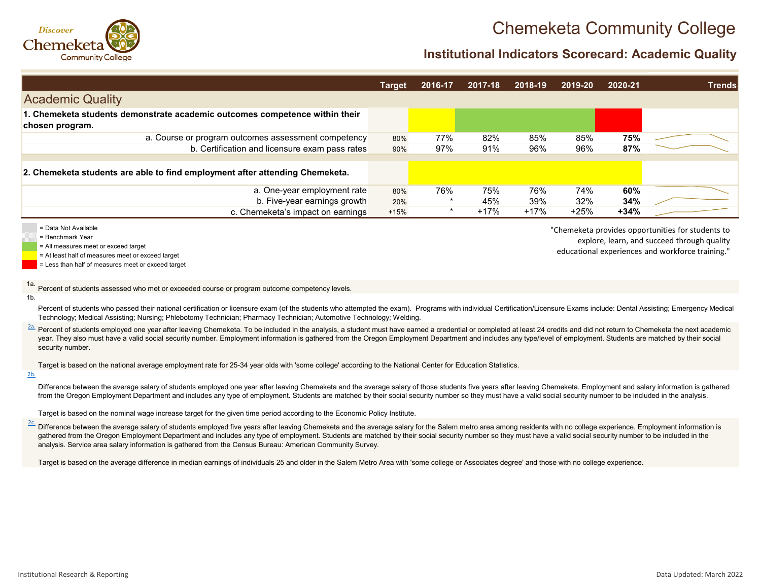

"Chemeketa provides opportunities for students to

explore, learn, and succeed through quality educational experiences and workforce training."

#### **Institutional Indicators Scorecard: Academic Quality**

|                                                                                                | <b>Target</b> | 2016-17 | 2017-18 | 2018-19 | 2019-20 | 2020-21 | <b>Trends</b> |
|------------------------------------------------------------------------------------------------|---------------|---------|---------|---------|---------|---------|---------------|
| <b>Academic Quality</b>                                                                        |               |         |         |         |         |         |               |
| 1. Chemeketa students demonstrate academic outcomes competence within their<br>chosen program. |               |         |         |         |         |         |               |
| a. Course or program outcomes assessment competency                                            | 80%           | 77%     | 82%     | 85%     | 85%     | 75%     |               |
| b. Certification and licensure exam pass rates                                                 | 90%           | 97%     | 91%     | 96%     | 96%     | 87%     |               |
|                                                                                                |               |         |         |         |         |         |               |
| 2. Chemeketa students are able to find employment after attending Chemeketa.                   |               |         |         |         |         |         |               |
| a. One-year employment rate                                                                    | 80%           | 76%     | 75%     | 76%     | 74%     | 60%     |               |
| b. Five-year earnings growth                                                                   | 20%           |         | 45%     | 39%     | 32%     | 34%     |               |
| c. Chemeketa's impact on earnings                                                              | $+15%$        | $\star$ | $+17%$  | $+17%$  | $+25%$  | $+34%$  |               |

= Data Not Available

= Benchmark Year

= All measures meet or exceed target

= At least half of measures meet or exceed target

= Less than half of measures meet or exceed target

<sup>1a.</sup> Percent of students assessed who met or exceeded course or program outcome competency levels.

1b.

Percent of students who passed their national certification or licensure exam (of the students who attempted the exam). Programs with individual Certification/Licensure Exams include: Dental Assisting; Emergency Medical Technology; Medical Assisting; Nursing; Phlebotomy Technician; Pharmacy Technician; Automotive Technology; Welding.

<sup>[2a.](https://nces.ed.gov/fastfacts/display.asp?id=561)</sup> Percent of students employed one year after leaving Chemeketa. To be included in the analysis, a student must have earned a credential or completed at least 24 credits and did not return to Chemeketa the next academi year. They also must have a valid social security number. Employment information is gathered from the Oregon Employment Department and includes any type/level of employment. Students are matched by their social security number.

Target is based on the national average employment rate for 25-34 year olds with 'some college' according to the National Center for Education Statistics.

[2b.](https://www.epi.org/nominal-wage-tracker/)

Difference between the average salary of students employed one year after leaving Chemeketa and the average salary of those students five years after leaving Chemeketa. Employment and salary information is gathered from the Oregon Employment Department and includes any type of employment. Students are matched by their social security number so they must have a valid social security number to be included in the analysis.

Target is based on the nominal wage increase target for the given time period according to the Economic Policy Institute.

 $\frac{2c.}{2}$  $\frac{2c.}{2}$  $\frac{2c.}{2}$  Difference between the average salary of students employed five years after leaving Chemeketa and the average salary for the Salem metro area among residents with no college experience. Employment information gathered from the Oregon Employment Department and includes any type of employment. Students are matched by their social security number so they must have a valid social security number to be included in the analysis. Service area salary information is gathered from the Census Bureau: American Community Survey.

Target is based on the average difference in median earnings of individuals 25 and older in the Salem Metro Area with 'some college or Associates degree' and those with no college experience.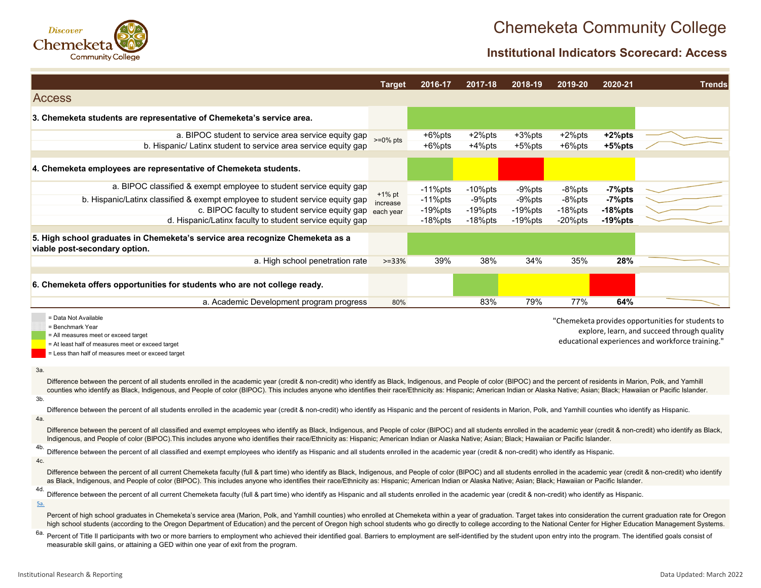

#### **Institutional Indicators Scorecard: Access**

|                                                                                                                                                                                                                                                                                                                                                                                                                                                                            | <b>Target</b>         | 2016-17                | 2017-18          | 2018-19                | 2019-20                | 2020-21                | <b>Trends</b> |  |  |
|----------------------------------------------------------------------------------------------------------------------------------------------------------------------------------------------------------------------------------------------------------------------------------------------------------------------------------------------------------------------------------------------------------------------------------------------------------------------------|-----------------------|------------------------|------------------|------------------------|------------------------|------------------------|---------------|--|--|
| <b>Access</b>                                                                                                                                                                                                                                                                                                                                                                                                                                                              |                       |                        |                  |                        |                        |                        |               |  |  |
| 3. Chemeketa students are representative of Chemeketa's service area.                                                                                                                                                                                                                                                                                                                                                                                                      |                       |                        |                  |                        |                        |                        |               |  |  |
| a. BIPOC student to service area service equity gap<br>b. Hispanic/ Latinx student to service area service equity gap                                                                                                                                                                                                                                                                                                                                                      | $>=0\%$ pts           | $+6%$ pts<br>$+6%$ pts | +2%pts<br>+4%pts | $+3%$ pts<br>$+5%$ pts | $+2%$ pts<br>$+6%$ pts | $+2%$ pts<br>$+5%$ pts |               |  |  |
| 4. Chemeketa employees are representative of Chemeketa students.                                                                                                                                                                                                                                                                                                                                                                                                           |                       |                        |                  |                        |                        |                        |               |  |  |
| a. BIPOC classified & exempt employee to student service equity gap                                                                                                                                                                                                                                                                                                                                                                                                        |                       | $-11%$ pts             | $-10\%$ pts      | $-9%$ pts              | -8%pts                 | $-7%$ pts              |               |  |  |
| b. Hispanic/Latinx classified & exempt employee to student service equity gap                                                                                                                                                                                                                                                                                                                                                                                              | $+1\%$ pt<br>increase | $-11%$ pts             | -9%pts           | -9%pts                 | -8%pts                 | -7%pts                 |               |  |  |
| c. BIPOC faculty to student service equity gap                                                                                                                                                                                                                                                                                                                                                                                                                             | each year             | $-19%$ pts             | $-19%$ pts       | $-19%$ pts             | $-18%$ pts             | $-18%$ pts             |               |  |  |
| d. Hispanic/Latinx faculty to student service equity gap                                                                                                                                                                                                                                                                                                                                                                                                                   |                       | $-18%$ pts             | -18%pts          | $-19%$ pts             | $-20%$ pts             | $-19%$ pts             |               |  |  |
| 5. High school graduates in Chemeketa's service area recognize Chemeketa as a<br>viable post-secondary option.                                                                                                                                                                                                                                                                                                                                                             |                       |                        |                  |                        |                        |                        |               |  |  |
| a. High school penetration rate                                                                                                                                                                                                                                                                                                                                                                                                                                            | $>=33%$               | 39%                    | 38%              | 34%                    | 35%                    | 28%                    |               |  |  |
| 6. Chemeketa offers opportunities for students who are not college ready.                                                                                                                                                                                                                                                                                                                                                                                                  |                       |                        |                  |                        |                        |                        |               |  |  |
| a. Academic Development program progress                                                                                                                                                                                                                                                                                                                                                                                                                                   | 80%                   |                        | 83%              | 79%                    | 77%                    | 64%                    |               |  |  |
| = Data Not Available<br>"Chemeketa provides opportunities for students to<br>= Benchmark Year<br>explore, learn, and succeed through quality<br>= All measures meet or exceed target<br>educational experiences and workforce training."<br>= At least half of measures meet or exceed target<br>= Less than half of measures meet or exceed target                                                                                                                        |                       |                        |                  |                        |                        |                        |               |  |  |
| За.<br>Difference between the percent of all students enrolled in the academic year (credit & non-credit) who identify as Black, Indigenous, and People of color (BIPOC) and the percent of residents in Marion, Polk, and Yamhill<br>counties who identify as Black, Indigenous, and People of color (BIPOC). This includes anyone who identifies their race/Ethnicity as: Hispanic; American Indian or Alaska Native; Asian; Black; Hawaiian or Pacific Islander.        |                       |                        |                  |                        |                        |                        |               |  |  |
| 3b.                                                                                                                                                                                                                                                                                                                                                                                                                                                                        |                       |                        |                  |                        |                        |                        |               |  |  |
| Difference between the percent of all students enrolled in the academic year (credit & non-credit) who identify as Hispanic and the percent of residents in Marion, Polk, and Yamhill counties who identify as Hispanic.<br>4a.                                                                                                                                                                                                                                            |                       |                        |                  |                        |                        |                        |               |  |  |
| Difference between the percent of all classified and exempt employees who identify as Black, Indigenous, and People of color (BIPOC) and all students enrolled in the academic year (credit & non-credit) who identify as Blac<br>Indigenous, and People of color (BIPOC). This includes anyone who identifies their race/Ethnicity as: Hispanic; American Indian or Alaska Native; Asian; Black; Hawaiian or Pacific Islander.                                            |                       |                        |                  |                        |                        |                        |               |  |  |
| 4b.<br>Difference between the percent of all classified and exempt employees who identify as Hispanic and all students enrolled in the academic year (credit & non-credit) who identify as Hispanic.                                                                                                                                                                                                                                                                       |                       |                        |                  |                        |                        |                        |               |  |  |
| 4c.<br>Difference between the percent of all current Chemeketa faculty (full & part time) who identify as Black, Indigenous, and People of color (BIPOC) and all students enrolled in the academic year (credit & non-credit) who ide<br>as Black, Indigenous, and People of color (BIPOC). This includes anyone who identifies their race/Ethnicity as: Hispanic; American Indian or Alaska Native; Asian; Black; Hawaiian or Pacific Islander.                           |                       |                        |                  |                        |                        |                        |               |  |  |
| 4d.<br>Difference between the percent of all current Chemeketa faculty (full & part time) who identify as Hispanic and all students enrolled in the academic year (credit & non-credit) who identify as Hispanic.                                                                                                                                                                                                                                                          |                       |                        |                  |                        |                        |                        |               |  |  |
| <u>5a.</u><br>Percent of high school graduates in Chemeketa's service area (Marion, Polk, and Yamhill counties) who enrolled at Chemeketa within a year of graduation. Target takes into consideration the current graduation rate for Orego<br>high school students (according to the Oregon Department of Education) and the percent of Oregon high school students who go directly to college according to the National Center for Higher Education Management Systems. |                       |                        |                  |                        |                        |                        |               |  |  |
| <sup>6a</sup> . Percept of Title II perticipants with two or mare barriers to employment who ashioved their identified goal. Barriers to employment are self-identified by the student upon entry into the program. The identified goals                                                                                                                                                                                                                                   |                       |                        |                  |                        |                        |                        |               |  |  |

Percent of Title II participants with two or more barriers to employment who achieved their identified goal. Barriers to employment are self-identified by the student upon entry into the program. The identified goals consi measurable skill gains, or attaining a GED within one year of exit from the program.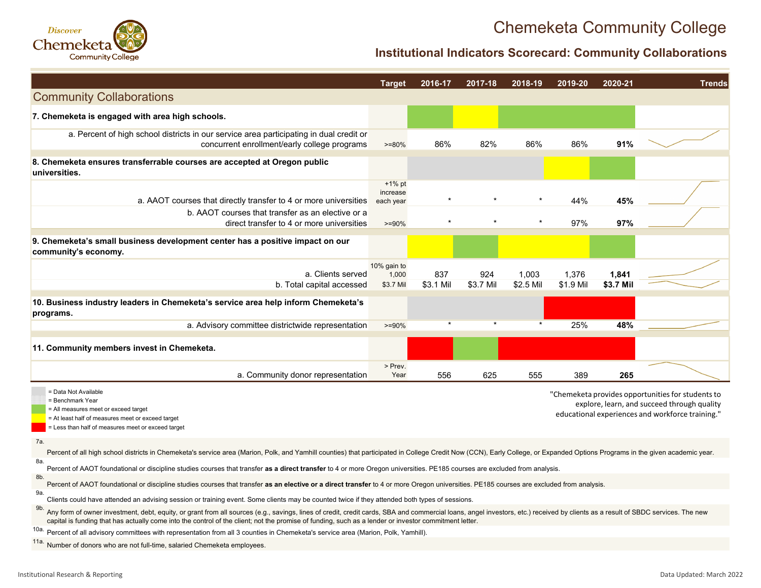

#### **Institutional Indicators Scorecard: Community Collaborations**

|                                                                                                                                                                                                                                                                                                                                                     | <b>Target</b>                      | 2016-17          | 2017-18          | 2018-19            | $2019 - 20$        | 2020-21            | <b>Trends</b> |  |  |
|-----------------------------------------------------------------------------------------------------------------------------------------------------------------------------------------------------------------------------------------------------------------------------------------------------------------------------------------------------|------------------------------------|------------------|------------------|--------------------|--------------------|--------------------|---------------|--|--|
| <b>Community Collaborations</b>                                                                                                                                                                                                                                                                                                                     |                                    |                  |                  |                    |                    |                    |               |  |  |
| 7. Chemeketa is engaged with area high schools.                                                                                                                                                                                                                                                                                                     |                                    |                  |                  |                    |                    |                    |               |  |  |
| a. Percent of high school districts in our service area participating in dual credit or<br>concurrent enrollment/early college programs                                                                                                                                                                                                             | $>= 80%$                           | 86%              | 82%              | 86%                | 86%                | 91%                |               |  |  |
| 8. Chemeketa ensures transferrable courses are accepted at Oregon public<br>universities.                                                                                                                                                                                                                                                           |                                    |                  |                  |                    |                    |                    |               |  |  |
| a. AAOT courses that directly transfer to 4 or more universities<br>b. AAOT courses that transfer as an elective or a                                                                                                                                                                                                                               | $+1\%$ pt<br>increase<br>each year | $\star$          |                  |                    | 44%                | 45%                |               |  |  |
| direct transfer to 4 or more universities<br>9. Chemeketa's small business development center has a positive impact on our<br>community's economy.                                                                                                                                                                                                  | $>=90%$                            |                  |                  |                    | 97%                | 97%                |               |  |  |
| a. Clients served<br>b. Total capital accessed                                                                                                                                                                                                                                                                                                      | 10% gain to<br>1,000<br>\$3.7 Mil  | 837<br>\$3.1 Mil | 924<br>\$3.7 Mil | 1,003<br>\$2.5 Mil | 1,376<br>\$1.9 Mil | 1,841<br>\$3.7 Mil |               |  |  |
| 10. Business industry leaders in Chemeketa's service area help inform Chemeketa's<br>programs.                                                                                                                                                                                                                                                      |                                    |                  |                  |                    |                    |                    |               |  |  |
| a. Advisory committee districtwide representation                                                                                                                                                                                                                                                                                                   | $>=90%$                            |                  |                  |                    | 25%                | 48%                |               |  |  |
| 11. Community members invest in Chemeketa.                                                                                                                                                                                                                                                                                                          |                                    |                  |                  |                    |                    |                    |               |  |  |
| a. Community donor representation                                                                                                                                                                                                                                                                                                                   | > Prev.<br>Year                    | 556              | 625              | 555                | 389                | 265                |               |  |  |
| = Data Not Available<br>"Chemeketa provides opportunities for students to<br>= Benchmark Year<br>explore, learn, and succeed through quality<br>= All measures meet or exceed target<br>educational experiences and workforce training."<br>= At least half of measures meet or exceed target<br>= Less than half of measures meet or exceed target |                                    |                  |                  |                    |                    |                    |               |  |  |
| 7a.<br>Percent of all high school districts in Chemeketa's service area (Marion, Polk, and Yamhill counties) that participated in College Credit Now (CCN), Early College, or Expanded Options Programs in the given academic year.                                                                                                                 |                                    |                  |                  |                    |                    |                    |               |  |  |
| 8a.<br>Percent of AAOT foundational or discipline studies courses that transfer as a direct transfer to 4 or more Oregon universities. PE185 courses are excluded from analysis.                                                                                                                                                                    |                                    |                  |                  |                    |                    |                    |               |  |  |
| 8b.<br>Percent of AAOT foundational or discipline studies courses that transfer as an elective or a direct transfer to 4 or more Oregon universities. PE185 courses are excluded from analysis.<br>9a.                                                                                                                                              |                                    |                  |                  |                    |                    |                    |               |  |  |

Clients could have attended an advising session or training event. Some clients may be counted twice if they attended both types of sessions.

9b. Any form of owner investment, debt, equity, or grant from all sources (e.g., savings, lines of credit, credit cards, SBA and commercial loans, angel investors, etc.) received by clients as a result of SBDC services. The ne capital is funding that has actually come into the control of the client; not the promise of funding, such as a lender or investor commitment letter.

<sup>10a.</sup> Percent of all advisory committees with representation from all 3 counties in Chemeketa's service area (Marion, Polk, Yamhill).

11a. Number of donors who are not full-time, salaried Chemeketa employees.